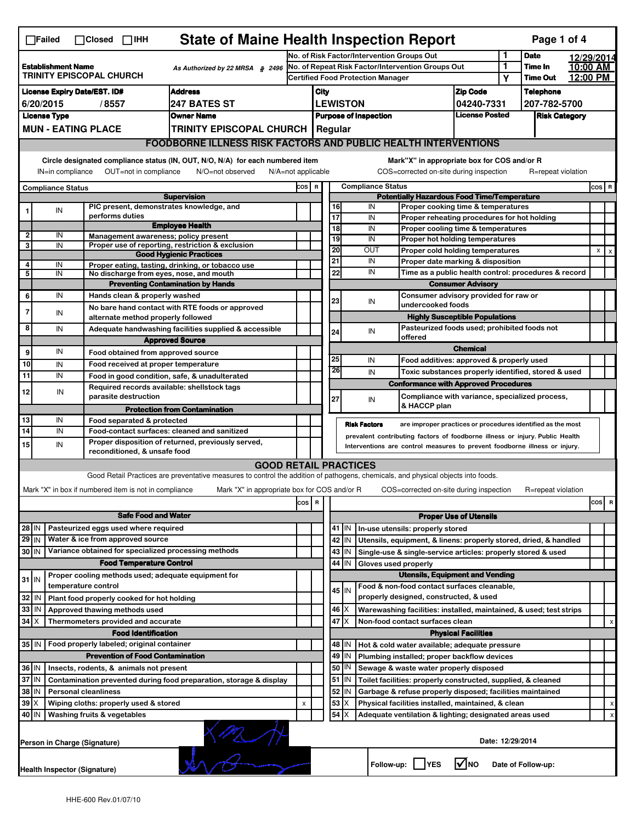| <b>State of Maine Health Inspection Report</b><br>Page 1 of 4<br>$\Box$ Failed<br>$\Box$ Closed $\Box$ IHH                                                                                                                                                                                |                                                                                                                                                        |  |                                                                     |                                                                                                                                   |                                                   |                                                                               |                                             |             |                                                                                    |                                                            |              |                    |          |              |         |  |  |
|-------------------------------------------------------------------------------------------------------------------------------------------------------------------------------------------------------------------------------------------------------------------------------------------|--------------------------------------------------------------------------------------------------------------------------------------------------------|--|---------------------------------------------------------------------|-----------------------------------------------------------------------------------------------------------------------------------|---------------------------------------------------|-------------------------------------------------------------------------------|---------------------------------------------|-------------|------------------------------------------------------------------------------------|------------------------------------------------------------|--------------|--------------------|----------|--------------|---------|--|--|
|                                                                                                                                                                                                                                                                                           |                                                                                                                                                        |  |                                                                     |                                                                                                                                   | No. of Risk Factor/Intervention Groups Out        |                                                                               |                                             |             |                                                                                    | 1                                                          | <b>Date</b>  | 12/29/2014         |          |              |         |  |  |
| <b>Establishment Name</b><br>As Authorized by 22 MRSA § 2496<br>TRINITY EPISCOPAL CHURCH                                                                                                                                                                                                  |                                                                                                                                                        |  |                                                                     |                                                                                                                                   | No. of Repeat Risk Factor/Intervention Groups Out |                                                                               |                                             |             |                                                                                    | 1                                                          | Time In      | 10:00 AM           |          |              |         |  |  |
|                                                                                                                                                                                                                                                                                           |                                                                                                                                                        |  |                                                                     |                                                                                                                                   |                                                   |                                                                               |                                             |             | <b>Certified Food Protection Manager</b>                                           |                                                            | Υ            | <b>Time Out</b>    | 12:00 PM |              |         |  |  |
|                                                                                                                                                                                                                                                                                           |                                                                                                                                                        |  | <b>License Expiry Date/EST. ID#</b>                                 | <b>Address</b>                                                                                                                    |                                                   | City                                                                          |                                             |             |                                                                                    | <b>Zip Code</b>                                            |              | <b>Telephone</b>   |          |              |         |  |  |
| <b>247 BATES ST</b><br>6/20/2015<br>/8557                                                                                                                                                                                                                                                 |                                                                                                                                                        |  |                                                                     |                                                                                                                                   |                                                   | <b>LEWISTON</b><br>04240-7331                                                 |                                             |             |                                                                                    |                                                            | 207-782-5700 |                    |          |              |         |  |  |
|                                                                                                                                                                                                                                                                                           | <b>License Type</b><br><b>Owner Name</b>                                                                                                               |  |                                                                     |                                                                                                                                   |                                                   | <b>License Posted</b><br><b>Purpose of Inspection</b><br><b>Risk Category</b> |                                             |             |                                                                                    |                                                            |              |                    |          |              |         |  |  |
|                                                                                                                                                                                                                                                                                           | <b>MUN - EATING PLACE</b><br><b>TRINITY EPISCOPAL CHURCH   Regular</b>                                                                                 |  |                                                                     |                                                                                                                                   |                                                   |                                                                               |                                             |             |                                                                                    |                                                            |              |                    |          |              |         |  |  |
|                                                                                                                                                                                                                                                                                           |                                                                                                                                                        |  |                                                                     | <b>FOODBORNE ILLNESS RISK FACTORS AND PUBLIC HEALTH INTERVENTIONS</b>                                                             |                                                   |                                                                               |                                             |             |                                                                                    |                                                            |              |                    |          |              |         |  |  |
| Circle designated compliance status (IN, OUT, N/O, N/A) for each numbered item<br>Mark"X" in appropriate box for COS and/or R<br>OUT=not in compliance<br>COS=corrected on-site during inspection<br>IN=in compliance<br>N/O=not observed<br>$N/A = not$ applicable<br>R=repeat violation |                                                                                                                                                        |  |                                                                     |                                                                                                                                   |                                                   |                                                                               |                                             |             |                                                                                    |                                                            |              |                    |          |              |         |  |  |
|                                                                                                                                                                                                                                                                                           |                                                                                                                                                        |  |                                                                     |                                                                                                                                   |                                                   |                                                                               | <b>Compliance Status</b><br>COS R           |             |                                                                                    |                                                            |              |                    |          |              | $cos$ R |  |  |
| <b>Compliance Status</b><br><b>Supervision</b>                                                                                                                                                                                                                                            |                                                                                                                                                        |  |                                                                     |                                                                                                                                   |                                                   | <b>Potentially Hazardous Food Time/Temperature</b>                            |                                             |             |                                                                                    |                                                            |              |                    |          |              |         |  |  |
|                                                                                                                                                                                                                                                                                           | IN                                                                                                                                                     |  | PIC present, demonstrates knowledge, and                            |                                                                                                                                   |                                                   |                                                                               | 16                                          |             | IN<br>Proper cooking time & temperatures                                           |                                                            |              |                    |          |              |         |  |  |
|                                                                                                                                                                                                                                                                                           |                                                                                                                                                        |  | performs duties                                                     |                                                                                                                                   |                                                   |                                                                               | $\overline{17}$                             |             | IN<br>Proper reheating procedures for hot holding                                  |                                                            |              |                    |          |              |         |  |  |
| $\overline{2}$                                                                                                                                                                                                                                                                            | IN                                                                                                                                                     |  |                                                                     | <b>Employee Health</b>                                                                                                            |                                                   |                                                                               | $\overline{18}$                             |             | IN<br>Proper cooling time & temperatures                                           |                                                            |              |                    |          |              |         |  |  |
| 3                                                                                                                                                                                                                                                                                         | IN                                                                                                                                                     |  | Management awareness; policy present                                | Proper use of reporting, restriction & exclusion                                                                                  |                                                   |                                                                               | 19                                          |             | IN<br>Proper hot holding temperatures                                              |                                                            |              |                    |          |              |         |  |  |
|                                                                                                                                                                                                                                                                                           |                                                                                                                                                        |  |                                                                     | <b>Good Hygienic Practices</b>                                                                                                    |                                                   |                                                                               | 20                                          |             | OUT<br>Proper cold holding temperatures                                            |                                                            |              |                    |          | $\mathsf{x}$ |         |  |  |
| 4                                                                                                                                                                                                                                                                                         | IN                                                                                                                                                     |  |                                                                     | Proper eating, tasting, drinking, or tobacco use                                                                                  |                                                   |                                                                               | 21                                          |             | IN<br>Proper date marking & disposition                                            |                                                            |              |                    |          |              |         |  |  |
| 5                                                                                                                                                                                                                                                                                         | IN                                                                                                                                                     |  | No discharge from eyes, nose, and mouth                             |                                                                                                                                   |                                                   |                                                                               | 22                                          |             | IN                                                                                 | Time as a public health control: procedures & record       |              |                    |          |              |         |  |  |
|                                                                                                                                                                                                                                                                                           |                                                                                                                                                        |  |                                                                     | <b>Preventing Contamination by Hands</b>                                                                                          |                                                   |                                                                               |                                             |             |                                                                                    | <b>Consumer Advisory</b>                                   |              |                    |          |              |         |  |  |
| 6                                                                                                                                                                                                                                                                                         | IN                                                                                                                                                     |  | Hands clean & properly washed                                       |                                                                                                                                   |                                                   |                                                                               | 23                                          |             | IN                                                                                 | Consumer advisory provided for raw or<br>undercooked foods |              |                    |          |              |         |  |  |
| 7                                                                                                                                                                                                                                                                                         | IN                                                                                                                                                     |  |                                                                     | No bare hand contact with RTE foods or approved                                                                                   |                                                   |                                                                               |                                             |             |                                                                                    |                                                            |              |                    |          |              |         |  |  |
| 8                                                                                                                                                                                                                                                                                         |                                                                                                                                                        |  | alternate method properly followed                                  |                                                                                                                                   |                                                   |                                                                               |                                             |             |                                                                                    | <b>Highly Susceptible Populations</b>                      |              |                    |          |              |         |  |  |
|                                                                                                                                                                                                                                                                                           | IN                                                                                                                                                     |  |                                                                     | Adequate handwashing facilities supplied & accessible                                                                             |                                                   |                                                                               | 24                                          |             | Pasteurized foods used; prohibited foods not<br>IN<br>offered                      |                                                            |              |                    |          |              |         |  |  |
|                                                                                                                                                                                                                                                                                           |                                                                                                                                                        |  |                                                                     | <b>Approved Source</b>                                                                                                            |                                                   |                                                                               |                                             |             |                                                                                    | <b>Chemical</b>                                            |              |                    |          |              |         |  |  |
| 9                                                                                                                                                                                                                                                                                         | IN                                                                                                                                                     |  | Food obtained from approved source                                  |                                                                                                                                   |                                                   |                                                                               | 25                                          |             | IN<br>Food additives: approved & properly used                                     |                                                            |              |                    |          |              |         |  |  |
| 10                                                                                                                                                                                                                                                                                        | IN                                                                                                                                                     |  | Food received at proper temperature                                 |                                                                                                                                   |                                                   |                                                                               | 26                                          |             | IN<br>Toxic substances properly identified, stored & used                          |                                                            |              |                    |          |              |         |  |  |
| 11                                                                                                                                                                                                                                                                                        | IN                                                                                                                                                     |  |                                                                     | Food in good condition, safe, & unadulterated                                                                                     |                                                   |                                                                               |                                             |             | <b>Conformance with Approved Procedures</b>                                        |                                                            |              |                    |          |              |         |  |  |
| 12                                                                                                                                                                                                                                                                                        | IN                                                                                                                                                     |  | Required records available: shellstock tags<br>parasite destruction |                                                                                                                                   |                                                   |                                                                               |                                             |             | Compliance with variance, specialized process,                                     |                                                            |              |                    |          |              |         |  |  |
|                                                                                                                                                                                                                                                                                           |                                                                                                                                                        |  |                                                                     |                                                                                                                                   |                                                   |                                                                               | 27                                          |             | IN<br>& HACCP plan                                                                 |                                                            |              |                    |          |              |         |  |  |
| 13                                                                                                                                                                                                                                                                                        | IN                                                                                                                                                     |  | Food separated & protected                                          | <b>Protection from Contamination</b>                                                                                              |                                                   |                                                                               |                                             |             |                                                                                    |                                                            |              |                    |          |              |         |  |  |
| $\overline{14}$                                                                                                                                                                                                                                                                           | IN                                                                                                                                                     |  |                                                                     | Food-contact surfaces: cleaned and sanitized                                                                                      |                                                   |                                                                               |                                             |             | <b>Risk Factors</b><br>are improper practices or procedures identified as the most |                                                            |              |                    |          |              |         |  |  |
|                                                                                                                                                                                                                                                                                           |                                                                                                                                                        |  |                                                                     | Proper disposition of returned, previously served,                                                                                |                                                   | prevalent contributing factors of foodborne illness or injury. Public Health  |                                             |             |                                                                                    |                                                            |              |                    |          |              |         |  |  |
| 15                                                                                                                                                                                                                                                                                        | IN                                                                                                                                                     |  | reconditioned, & unsafe food                                        |                                                                                                                                   |                                                   |                                                                               |                                             |             | Interventions are control measures to prevent foodborne illness or injury.         |                                                            |              |                    |          |              |         |  |  |
|                                                                                                                                                                                                                                                                                           |                                                                                                                                                        |  |                                                                     | <b>GOOD RETAIL PRACTICES</b>                                                                                                      |                                                   |                                                                               |                                             |             |                                                                                    |                                                            |              |                    |          |              |         |  |  |
|                                                                                                                                                                                                                                                                                           |                                                                                                                                                        |  |                                                                     | Good Retail Practices are preventative measures to control the addition of pathogens, chemicals, and physical objects into foods. |                                                   |                                                                               |                                             |             |                                                                                    |                                                            |              |                    |          |              |         |  |  |
|                                                                                                                                                                                                                                                                                           |                                                                                                                                                        |  | Mark "X" in box if numbered item is not in compliance               | Mark "X" in appropriate box for COS and/or R                                                                                      |                                                   |                                                                               |                                             |             | COS=corrected on-site during inspection                                            |                                                            |              | R=repeat violation |          |              |         |  |  |
|                                                                                                                                                                                                                                                                                           |                                                                                                                                                        |  |                                                                     |                                                                                                                                   | cos                                               | R                                                                             |                                             |             |                                                                                    |                                                            |              |                    |          | cos          | R       |  |  |
|                                                                                                                                                                                                                                                                                           |                                                                                                                                                        |  |                                                                     |                                                                                                                                   |                                                   |                                                                               |                                             |             |                                                                                    |                                                            |              |                    |          |              |         |  |  |
|                                                                                                                                                                                                                                                                                           | <b>Safe Food and Water</b>                                                                                                                             |  |                                                                     |                                                                                                                                   |                                                   |                                                                               |                                             |             |                                                                                    | <b>Proper Use of Utensils</b>                              |              |                    |          |              |         |  |  |
| 28 IN                                                                                                                                                                                                                                                                                     |                                                                                                                                                        |  | Pasteurized eggs used where required                                |                                                                                                                                   |                                                   |                                                                               |                                             | 41   IN     | In-use utensils: properly stored                                                   |                                                            |              |                    |          |              |         |  |  |
| 29 IN                                                                                                                                                                                                                                                                                     |                                                                                                                                                        |  | Water & ice from approved source                                    |                                                                                                                                   |                                                   |                                                                               |                                             | 42 IN       | Utensils, equipment, & linens: properly stored, dried, & handled                   |                                                            |              |                    |          |              |         |  |  |
| 30 IN                                                                                                                                                                                                                                                                                     |                                                                                                                                                        |  | Variance obtained for specialized processing methods                |                                                                                                                                   |                                                   |                                                                               |                                             | 43   IN     | Single-use & single-service articles: properly stored & used                       |                                                            |              |                    |          |              |         |  |  |
|                                                                                                                                                                                                                                                                                           |                                                                                                                                                        |  | <b>Food Temperature Control</b>                                     |                                                                                                                                   |                                                   |                                                                               | 44                                          | IN          | Gloves used properly                                                               |                                                            |              |                    |          |              |         |  |  |
| $31$ IN                                                                                                                                                                                                                                                                                   |                                                                                                                                                        |  | Proper cooling methods used; adequate equipment for                 |                                                                                                                                   |                                                   |                                                                               |                                             |             | <b>Utensils, Equipment and Vending</b>                                             |                                                            |              |                    |          |              |         |  |  |
|                                                                                                                                                                                                                                                                                           |                                                                                                                                                        |  | temperature control                                                 |                                                                                                                                   |                                                   |                                                                               |                                             | 45 IN       | Food & non-food contact surfaces cleanable,                                        |                                                            |              |                    |          |              |         |  |  |
| 32                                                                                                                                                                                                                                                                                        | IN                                                                                                                                                     |  | Plant food properly cooked for hot holding                          |                                                                                                                                   |                                                   |                                                                               |                                             |             | properly designed, constructed, & used                                             |                                                            |              |                    |          |              |         |  |  |
| 33                                                                                                                                                                                                                                                                                        | IN                                                                                                                                                     |  | Approved thawing methods used                                       |                                                                                                                                   |                                                   |                                                                               |                                             | $46 \times$ | Warewashing facilities: installed, maintained, & used; test strips                 |                                                            |              |                    |          |              |         |  |  |
| $34$ $\times$                                                                                                                                                                                                                                                                             |                                                                                                                                                        |  | Thermometers provided and accurate                                  |                                                                                                                                   |                                                   |                                                                               | 47<br>ΙX<br>Non-food contact surfaces clean |             |                                                                                    |                                                            |              |                    |          |              | х       |  |  |
|                                                                                                                                                                                                                                                                                           |                                                                                                                                                        |  | <b>Food Identification</b>                                          |                                                                                                                                   |                                                   |                                                                               |                                             |             |                                                                                    | <b>Physical Facilities</b>                                 |              |                    |          |              |         |  |  |
| 35   IN                                                                                                                                                                                                                                                                                   |                                                                                                                                                        |  | Food properly labeled; original container                           |                                                                                                                                   |                                                   |                                                                               |                                             | 48   IN     | Hot & cold water available; adequate pressure                                      |                                                            |              |                    |          |              |         |  |  |
|                                                                                                                                                                                                                                                                                           |                                                                                                                                                        |  | <b>Prevention of Food Contamination</b>                             |                                                                                                                                   |                                                   |                                                                               |                                             | $49$ IN     | Plumbing installed; proper backflow devices                                        |                                                            |              |                    |          |              |         |  |  |
| 36 IN                                                                                                                                                                                                                                                                                     |                                                                                                                                                        |  | Insects, rodents, & animals not present                             |                                                                                                                                   |                                                   |                                                                               |                                             | 50   IN     | Sewage & waste water properly disposed                                             |                                                            |              |                    |          |              |         |  |  |
|                                                                                                                                                                                                                                                                                           | 37 IN<br>51   IN<br>Contamination prevented during food preparation, storage & display<br>Toilet facilities: properly constructed, supplied, & cleaned |  |                                                                     |                                                                                                                                   |                                                   |                                                                               |                                             |             |                                                                                    |                                                            |              |                    |          |              |         |  |  |
| 38 IN<br>52<br><b>Personal cleanliness</b><br>IN                                                                                                                                                                                                                                          |                                                                                                                                                        |  |                                                                     |                                                                                                                                   |                                                   | Garbage & refuse properly disposed; facilities maintained                     |                                             |             |                                                                                    |                                                            |              |                    |          |              |         |  |  |
| $39$ $\times$                                                                                                                                                                                                                                                                             |                                                                                                                                                        |  | Wiping cloths: properly used & stored                               |                                                                                                                                   | X                                                 |                                                                               | 53                                          | X           | Physical facilities installed, maintained, & clean                                 |                                                            |              |                    |          |              |         |  |  |
|                                                                                                                                                                                                                                                                                           | 54<br>40 IN<br>Washing fruits & vegetables<br>ΙX<br>Adequate ventilation & lighting; designated areas used                                             |  |                                                                     |                                                                                                                                   |                                                   |                                                                               |                                             |             |                                                                                    |                                                            |              |                    |          |              |         |  |  |
|                                                                                                                                                                                                                                                                                           | $\frac{1}{2}$<br>Date: 12/29/2014<br>Person in Charge (Signature)                                                                                      |  |                                                                     |                                                                                                                                   |                                                   |                                                                               |                                             |             |                                                                                    |                                                            |              |                    |          |              |         |  |  |
|                                                                                                                                                                                                                                                                                           | l√lno<br>Follow-up:  <br><b>IYES</b><br>Date of Follow-up:<br>Health Inspector (Signature)                                                             |  |                                                                     |                                                                                                                                   |                                                   |                                                                               |                                             |             |                                                                                    |                                                            |              |                    |          |              |         |  |  |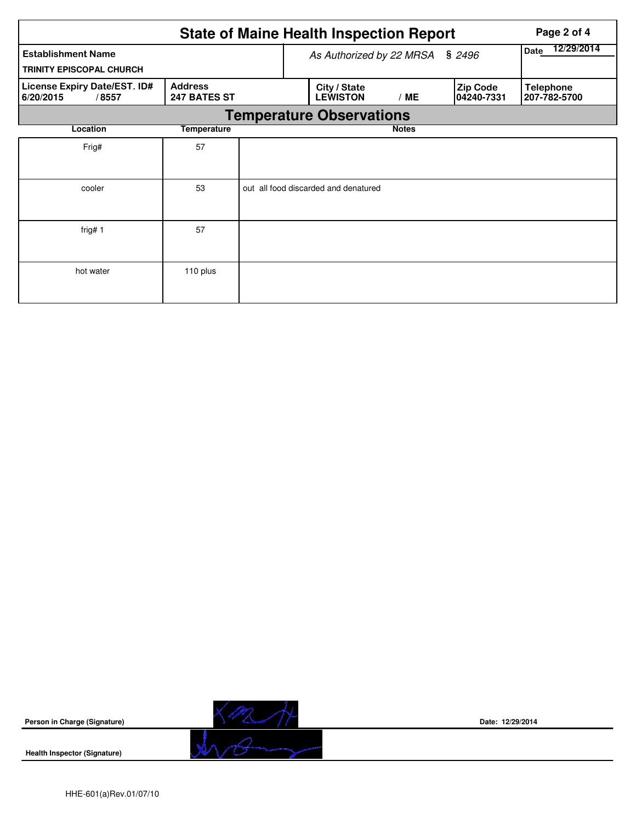|                                                                                      |                          |                    | <b>State of Maine Health Inspection Report</b> |                                  | Page 2 of 4 |
|--------------------------------------------------------------------------------------|--------------------------|--------------------|------------------------------------------------|----------------------------------|-------------|
| <b>Establishment Name</b><br><b>TRINITY EPISCOPAL CHURCH</b>                         | As Authorized by 22 MRSA | 12/29/2014<br>Date |                                                |                                  |             |
| <b>Address</b><br>License Expiry Date/EST. ID#<br>247 BATES ST<br>6/20/2015<br>/8557 |                          |                    | City / State<br><b>LEWISTON</b>                | <b>Telephone</b><br>207-782-5700 |             |
|                                                                                      |                          |                    | <b>Temperature Observations</b>                |                                  |             |
| Location                                                                             | <b>Temperature</b>       |                    |                                                |                                  |             |
| Frig#                                                                                | 57                       |                    |                                                |                                  |             |
| cooler                                                                               | 53                       |                    | out all food discarded and denatured           |                                  |             |
| frig# $1$                                                                            | 57                       |                    |                                                |                                  |             |
| hot water                                                                            | 110 plus                 |                    |                                                |                                  |             |

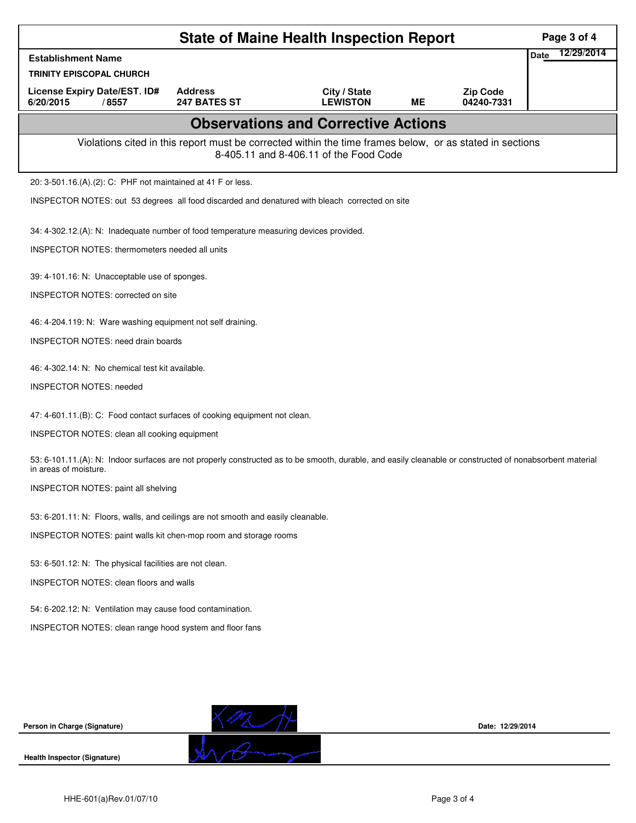| <b>State of Maine Health Inspection Report</b><br>Page 3 of 4                                                                                                                     |                                |                                                                                                                                                    |    |                               |      |            |  |  |
|-----------------------------------------------------------------------------------------------------------------------------------------------------------------------------------|--------------------------------|----------------------------------------------------------------------------------------------------------------------------------------------------|----|-------------------------------|------|------------|--|--|
| <b>Establishment Name</b>                                                                                                                                                         |                                |                                                                                                                                                    |    |                               | Date | 12/29/2014 |  |  |
| <b>TRINITY EPISCOPAL CHURCH</b>                                                                                                                                                   |                                |                                                                                                                                                    |    |                               |      |            |  |  |
| License Expiry Date/EST. ID#<br>6/20/2015<br>/8557                                                                                                                                | <b>Address</b><br>247 BATES ST | City / State<br><b>LEWISTON</b>                                                                                                                    | MЕ | <b>Zip Code</b><br>04240-7331 |      |            |  |  |
|                                                                                                                                                                                   |                                | <b>Observations and Corrective Actions</b>                                                                                                         |    |                               |      |            |  |  |
|                                                                                                                                                                                   |                                | Violations cited in this report must be corrected within the time frames below, or as stated in sections<br>8-405.11 and 8-406.11 of the Food Code |    |                               |      |            |  |  |
| 20: 3-501.16.(A).(2): C: PHF not maintained at 41 F or less.                                                                                                                      |                                |                                                                                                                                                    |    |                               |      |            |  |  |
| INSPECTOR NOTES: out 53 degrees all food discarded and denatured with bleach corrected on site                                                                                    |                                |                                                                                                                                                    |    |                               |      |            |  |  |
| 34: 4-302.12.(A): N: Inadequate number of food temperature measuring devices provided.                                                                                            |                                |                                                                                                                                                    |    |                               |      |            |  |  |
| INSPECTOR NOTES: thermometers needed all units                                                                                                                                    |                                |                                                                                                                                                    |    |                               |      |            |  |  |
| 39: 4-101.16: N: Unacceptable use of sponges.                                                                                                                                     |                                |                                                                                                                                                    |    |                               |      |            |  |  |
| INSPECTOR NOTES: corrected on site                                                                                                                                                |                                |                                                                                                                                                    |    |                               |      |            |  |  |
| 46: 4-204.119: N: Ware washing equipment not self draining.                                                                                                                       |                                |                                                                                                                                                    |    |                               |      |            |  |  |
| <b>INSPECTOR NOTES: need drain boards</b>                                                                                                                                         |                                |                                                                                                                                                    |    |                               |      |            |  |  |
| 46: 4-302.14: N: No chemical test kit available.                                                                                                                                  |                                |                                                                                                                                                    |    |                               |      |            |  |  |
| <b>INSPECTOR NOTES: needed</b>                                                                                                                                                    |                                |                                                                                                                                                    |    |                               |      |            |  |  |
| 47: 4-601.11.(B): C: Food contact surfaces of cooking equipment not clean.                                                                                                        |                                |                                                                                                                                                    |    |                               |      |            |  |  |
| INSPECTOR NOTES: clean all cooking equipment                                                                                                                                      |                                |                                                                                                                                                    |    |                               |      |            |  |  |
| 53: 6-101.11.(A): N: Indoor surfaces are not properly constructed as to be smooth, durable, and easily cleanable or constructed of nonabsorbent material<br>in areas of moisture. |                                |                                                                                                                                                    |    |                               |      |            |  |  |
| INSPECTOR NOTES: paint all shelving                                                                                                                                               |                                |                                                                                                                                                    |    |                               |      |            |  |  |
| 53: 6-201.11: N: Floors, walls, and ceilings are not smooth and easily cleanable.                                                                                                 |                                |                                                                                                                                                    |    |                               |      |            |  |  |
| INSPECTOR NOTES: paint walls kit chen-mop room and storage rooms                                                                                                                  |                                |                                                                                                                                                    |    |                               |      |            |  |  |
| 53: 6-501.12: N: The physical facilities are not clean.                                                                                                                           |                                |                                                                                                                                                    |    |                               |      |            |  |  |
| <b>INSPECTOR NOTES: clean floors and walls</b>                                                                                                                                    |                                |                                                                                                                                                    |    |                               |      |            |  |  |
| 54: 6-202.12: N: Ventilation may cause food contamination.                                                                                                                        |                                |                                                                                                                                                    |    |                               |      |            |  |  |
| INSPECTOR NOTES: clean range hood system and floor fans                                                                                                                           |                                |                                                                                                                                                    |    |                               |      |            |  |  |
|                                                                                                                                                                                   |                                |                                                                                                                                                    |    |                               |      |            |  |  |
|                                                                                                                                                                                   |                                |                                                                                                                                                    |    |                               |      |            |  |  |
|                                                                                                                                                                                   |                                |                                                                                                                                                    |    |                               |      |            |  |  |
| Person in Charge (Signature)                                                                                                                                                      |                                |                                                                                                                                                    |    | Date: 12/29/2014              |      |            |  |  |
| <b>Health Inspector (Signature)</b>                                                                                                                                               |                                |                                                                                                                                                    |    |                               |      |            |  |  |